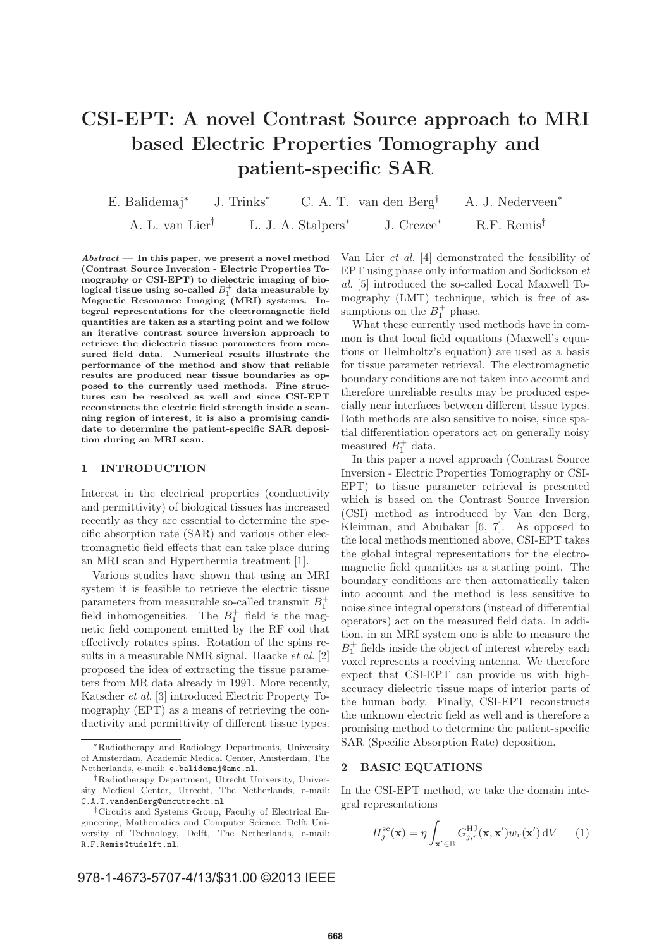# **CSI-EPT: A novel Contrast Source approach to MRI based Electric Properties Tomography and patient-specific SAR**

E. Balidemaj<sup>∗</sup> J. Trinks<sup>∗</sup> C. A. T. van den Berg† A. J. Nederveen<sup>∗</sup> A. L. van Lier† L. J. A. Stalpers<sup>∗</sup> J. Crezee<sup>∗</sup> R.F. Remis‡

*Abstract* **— In this paper, we present a novel method (Contrast Source Inversion - Electric Properties Tomography or CSI-EPT) to dielectric imaging of bio**logical tissue using so-called  $B_1^+$  data measurable by **Magnetic Resonance Imaging (MRI) systems. Integral representations for the electromagnetic field quantities are taken as a starting point and we follow an iterative contrast source inversion approach to retrieve the dielectric tissue parameters from measured field data. Numerical results illustrate the performance of the method and show that reliable results are produced near tissue boundaries as opposed to the currently used methods. Fine structures can be resolved as well and since CSI-EPT reconstructs the electric field strength inside a scanning region of interest, it is also a promising candidate to determine the patient-specific SAR deposition during an MRI scan.**

## **1 INTRODUCTION**

Interest in the electrical properties (conductivity and permittivity) of biological tissues has increased recently as they are essential to determine the specific absorption rate (SAR) and various other electromagnetic field effects that can take place during an MRI scan and Hyperthermia treatment [1].

Various studies have shown that using an MRI system it is feasible to retrieve the electric tissue parameters from measurable so-called transmit  $B_1^+$ field inhomogeneities. The  $B_1^+$  field is the magnetic field component emitted by the RF coil that effectively rotates spins. Rotation of the spins results in a measurable NMR signal. Haacke et al. [2] proposed the idea of extracting the tissue parameters from MR data already in 1991. More recently, Katscher et al. [3] introduced Electric Property Tomography (EPT) as a means of retrieving the conductivity and permittivity of different tissue types.

978-1-4673-5707-4/13/\$31.00 ©2013 IEEE

Van Lier et al. [4] demonstrated the feasibility of EPT using phase only information and Sodickson et al. [5] introduced the so-called Local Maxwell Tomography (LMT) technique, which is free of assumptions on the  $B_1^+$  phase.

What these currently used methods have in common is that local field equations (Maxwell's equations or Helmholtz's equation) are used as a basis for tissue parameter retrieval. The electromagnetic boundary conditions are not taken into account and therefore unreliable results may be produced especially near interfaces between different tissue types. Both methods are also sensitive to noise, since spatial differentiation operators act on generally noisy measured  $B_1^+$  data.

In this paper a novel approach (Contrast Source Inversion - Electric Properties Tomography or CSI-EPT) to tissue parameter retrieval is presented which is based on the Contrast Source Inversion (CSI) method as introduced by Van den Berg, Kleinman, and Abubakar [6, 7]. As opposed to the local methods mentioned above, CSI-EPT takes the global integral representations for the electromagnetic field quantities as a starting point. The boundary conditions are then automatically taken into account and the method is less sensitive to noise since integral operators (instead of differential operators) act on the measured field data. In addition, in an MRI system one is able to measure the  $B_1^+$  fields inside the object of interest whereby each voxel represents a receiving antenna. We therefore expect that CSI-EPT can provide us with highaccuracy dielectric tissue maps of interior parts of the human body. Finally, CSI-EPT reconstructs the unknown electric field as well and is therefore a promising method to determine the patient-specific SAR (Specific Absorption Rate) deposition.

#### **2 BASIC EQUATIONS**

In the CSI-EPT method, we take the domain integral representations

$$
H_j^{\rm sc}(\mathbf{x}) = \eta \int_{\mathbf{x}' \in \mathbb{D}} G_{j,r}^{\rm HJ}(\mathbf{x}, \mathbf{x}') w_r(\mathbf{x}') \,dV \qquad (1)
$$

<sup>∗</sup>Radiotherapy and Radiology Departments, University of Amsterdam, Academic Medical Center, Amsterdam, The Netherlands, e-mail: e.balidemaj@amc.nl.

<sup>†</sup>Radiotherapy Department, Utrecht University, University Medical Center, Utrecht, The Netherlands, e-mail: C.A.T.vandenBerg@umcutrecht.nl

<sup>‡</sup>Circuits and Systems Group, Faculty of Electrical Engineering, Mathematics and Computer Science, Delft University of Technology, Delft, The Netherlands, e-mail: R.F.Remis@tudelft.nl.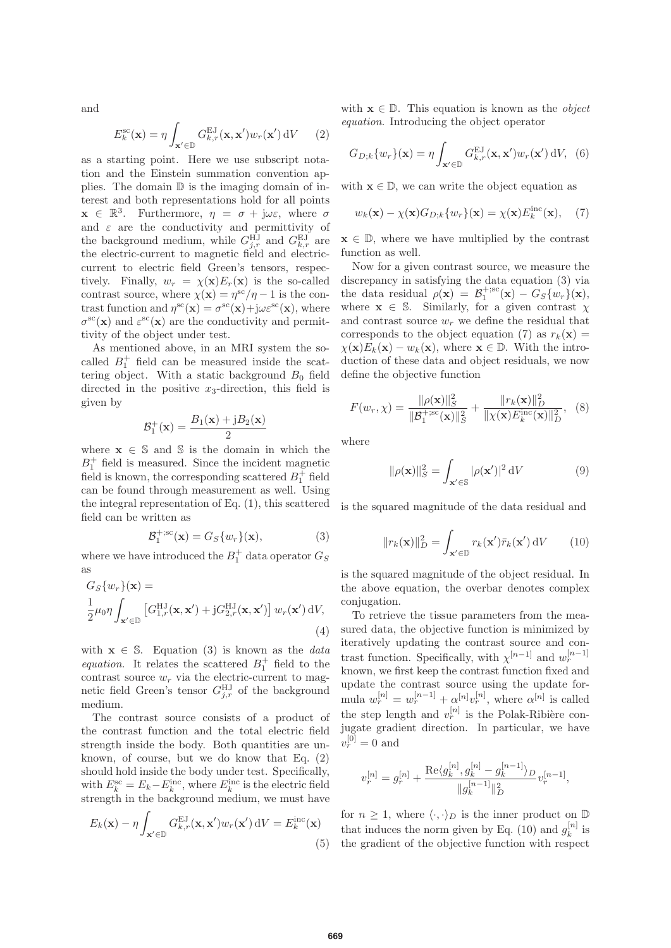and

$$
E_k^{\rm sc}(\mathbf{x}) = \eta \int_{\mathbf{x}' \in \mathbb{D}} G_{k,r}^{\rm EJ}(\mathbf{x}, \mathbf{x}') w_r(\mathbf{x}') \, \mathrm{d}V \qquad (2)
$$

as a starting point. Here we use subscript notation and the Einstein summation convention applies. The domain  $D$  is the imaging domain of interest and both representations hold for all points  $\mathbf{x} \in \mathbb{R}^3$ . Furthermore,  $\eta = \sigma + \mathbf{j}\omega\varepsilon$ , where  $\sigma$ and  $\varepsilon$  are the conductivity and permittivity of the background medium, while  $G_{j,r}^{\text{HJ}}$  and  $G_{k,r}^{\text{EJ}}$  are the electric-current to magnetic field and electriccurrent to electric field Green's tensors, respectively. Finally,  $w_r = \chi(\mathbf{x})E_r(\mathbf{x})$  is the so-called contrast source, where  $\chi(\mathbf{x}) = \eta^{\rm sc}/\eta - 1$  is the contrast function and  $\eta^{\rm sc}(\mathbf{x}) = \sigma^{\rm sc}(\mathbf{x}) + j\omega \varepsilon^{\rm sc}(\mathbf{x})$ , where  $\sigma^{\rm sc}(\mathbf{x})$  and  $\varepsilon^{\rm sc}(\mathbf{x})$  are the conductivity and permittivity of the object under test.

As mentioned above, in an MRI system the socalled  $B_1^+$  field can be measured inside the scattering object. With a static background  $B_0$  field directed in the positive  $x_3$ -direction, this field is given by

$$
\mathcal{B}_1^+(\mathbf{x}) = \frac{B_1(\mathbf{x}) + jB_2(\mathbf{x})}{2}
$$

where  $\mathbf{x} \in \mathbb{S}$  and  $\mathbb{S}$  is the domain in which the  $B_1^+$  field is measured. Since the incident magnetic field is known, the corresponding scattered  $B_1^+$  field can be found through measurement as well. Using the integral representation of Eq. (1), this scattered field can be written as

$$
\mathcal{B}_1^{+;sc}(\mathbf{x}) = G_S\{w_r\}(\mathbf{x}),\tag{3}
$$

where we have introduced the  $B_1^+$  data operator  $G_S$ as

$$
G_S\{w_r\}(\mathbf{x}) =
$$
  
\n
$$
\frac{1}{2}\mu_0 \eta \int_{\mathbf{x}' \in \mathbb{D}} \left[ G_{1,r}^{\rm HJ}(\mathbf{x}, \mathbf{x}') + jG_{2,r}^{\rm HJ}(\mathbf{x}, \mathbf{x}') \right] w_r(\mathbf{x}') dV,
$$
\n(4)

with  $\mathbf{x} \in \mathbb{S}$ . Equation (3) is known as the *data* equation. It relates the scattered  $B_1^+$  field to the contrast source  $w_r$  via the electric-current to magnetic field Green's tensor  $G_{j,r}^{\rm HJ}$  of the background medium.

The contrast source consists of a product of the contrast function and the total electric field strength inside the body. Both quantities are unknown, of course, but we do know that Eq. (2) should hold inside the body under test. Specifically, with  $E_k^{\text{sc}} = E_k - E_k^{\text{inc}}$ , where  $E_k^{\text{inc}}$  is the electric field strength in the background medium, we must have

$$
E_k(\mathbf{x}) - \eta \int_{\mathbf{x}' \in \mathbb{D}} G_{k,r}^{\text{EJ}}(\mathbf{x}, \mathbf{x}') w_r(\mathbf{x}') \, dV = E_k^{\text{inc}}(\mathbf{x})
$$
\n(5)

with  $\mathbf{x} \in \mathbb{D}$ . This equation is known as the *object* equation. Introducing the object operator

$$
G_{D;k}\{w_r\}(\mathbf{x}) = \eta \int_{\mathbf{x}' \in \mathbb{D}} G_{k,r}^{\text{EJ}}(\mathbf{x}, \mathbf{x}') w_r(\mathbf{x}') \,dV, \tag{6}
$$

with  $\mathbf{x} \in \mathbb{D}$ , we can write the object equation as

$$
w_k(\mathbf{x}) - \chi(\mathbf{x}) G_{D;k} \{ w_r\}(\mathbf{x}) = \chi(\mathbf{x}) E_k^{\text{inc}}(\mathbf{x}), \quad (7)
$$

 $\mathbf{x} \in \mathbb{D}$ , where we have multiplied by the contrast function as well.

Now for a given contrast source, we measure the discrepancy in satisfying the data equation (3) via the data residual  $\rho(\mathbf{x}) = \mathcal{B}_1^{+,\mathrm{sc}}(\mathbf{x}) - G_S\{w_r\}(\mathbf{x}),$ where  $\mathbf{x} \in \mathbb{S}$ . Similarly, for a given contrast  $\chi$ and contrast source  $w_r$  we define the residual that corresponds to the object equation (7) as  $r_k(\mathbf{x}) =$  $\chi(\mathbf{x})E_k(\mathbf{x}) - w_k(\mathbf{x})$ , where  $\mathbf{x} \in \mathbb{D}$ . With the introduction of these data and object residuals, we now define the objective function

$$
F(w_r, \chi) = \frac{\|\rho(\mathbf{x})\|_S^2}{\|\mathcal{B}_1^{+;sc}(\mathbf{x})\|_S^2} + \frac{\|r_k(\mathbf{x})\|_D^2}{\|\chi(\mathbf{x})E_k^{\text{inc}}(\mathbf{x})\|_D^2}, \quad (8)
$$

where

$$
\|\rho(\mathbf{x})\|_{S}^{2} = \int_{\mathbf{x}' \in \mathbb{S}} |\rho(\mathbf{x}')|^{2} dV \tag{9}
$$

is the squared magnitude of the data residual and

$$
||r_k(\mathbf{x})||_D^2 = \int_{\mathbf{x}' \in \mathbb{D}} r_k(\mathbf{x}') \bar{r}_k(\mathbf{x}') dV \qquad (10)
$$

is the squared magnitude of the object residual. In the above equation, the overbar denotes complex conjugation.

To retrieve the tissue parameters from the measured data, the objective function is minimized by iteratively updating the contrast source and contrast function. Specifically, with  $\chi^{[n-1]}$  and  $w_r^{[n-1]}$ known, we first keep the contrast function fixed and update the contrast source using the update formula  $w_r^{[n]} = w_r^{[n-1]} + \alpha^{[n]} v_r^{[n]}$ , where  $\alpha^{[n]}$  is called the step length and  $v_r^{[n]}$  is the Polak-Ribière conjugate gradient direction. In particular, we have  $v_r^{[0]} = 0$  and

$$
v_r^{[n]} = g_r^{[n]} + \frac{\text{Re}\langle g_k^{[n]}, g_k^{[n]} - g_k^{[n-1]}\rangle_D}{\|g_k^{[n-1]}\|_D^2} v_r^{[n-1]},
$$

for  $n \geq 1$ , where  $\langle \cdot, \cdot \rangle_D$  is the inner product on  $\mathbb D$ that induces the norm given by Eq. (10) and  $g_k^{[n]}$  is the gradient of the objective function with respect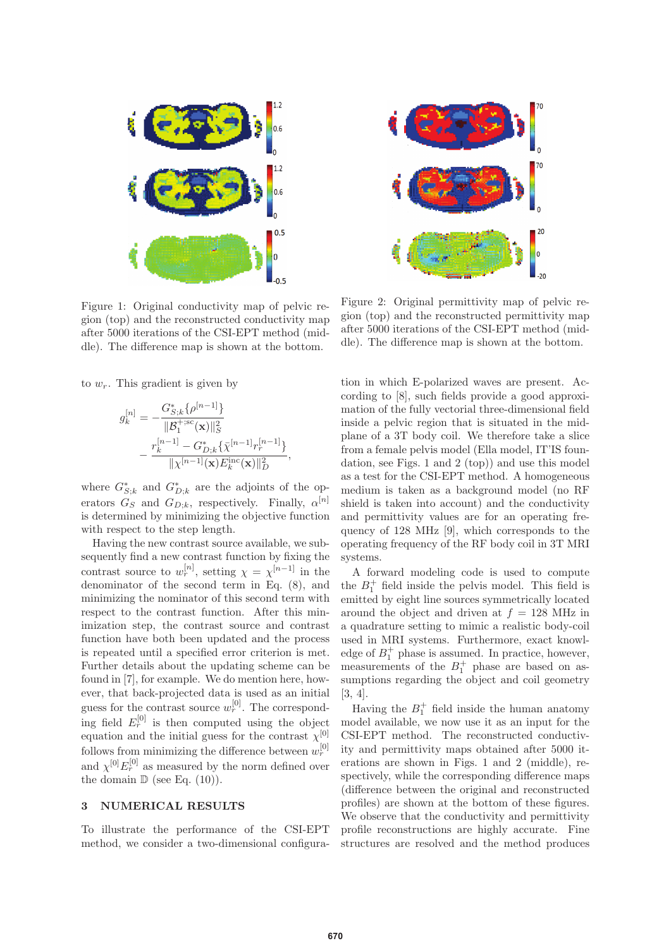

Figure 1: Original conductivity map of pelvic region (top) and the reconstructed conductivity map after 5000 iterations of the CSI-EPT method (middle). The difference map is shown at the bottom.

to  $w_r$ . This gradient is given by

$$
g_k^{[n]} = -\frac{G_{S;k}^* \{\rho^{[n-1]}\}}{\|\mathcal{B}_1^{+;sc}(\mathbf{x})\|_S^2} - \frac{r_k^{[n-1]} - G_{D;k}^* \{\bar{\chi}^{[n-1]} r_r^{[n-1]}\}}{\|\chi^{[n-1]}(\mathbf{x}) E_k^{\text{inc}}(\mathbf{x})\|_D^2},
$$

where  $G_{S;k}^*$  and  $G_{D;k}^*$  are the adjoints of the operators  $G_S$  and  $G_{D;k}$ , respectively. Finally,  $\alpha^{[n]}$ is determined by minimizing the objective function with respect to the step length.

Having the new contrast source available, we subsequently find a new contrast function by fixing the contrast source to  $w_r^{[n]}$ , setting  $\chi = \chi^{[n-1]}$  in the denominator of the second term in Eq. (8), and minimizing the nominator of this second term with respect to the contrast function. After this minimization step, the contrast source and contrast function have both been updated and the process is repeated until a specified error criterion is met. Further details about the updating scheme can be found in [7], for example. We do mention here, however, that back-projected data is used as an initial guess for the contrast source  $w_r^{[0]}$ . The corresponding field  $E_r^{[0]}$  is then computed using the object equation and the initial guess for the contrast  $\chi^{[0]}$ follows from minimizing the difference between  $w_r^{[0]}$ and  $\chi^{[0]}E_r^{[0]}$  as measured by the norm defined over the domain  $\mathbb{D}$  (see Eq. (10)).

## **3 NUMERICAL RESULTS**

To illustrate the performance of the CSI-EPT method, we consider a two-dimensional configura-



Figure 2: Original permittivity map of pelvic region (top) and the reconstructed permittivity map after 5000 iterations of the CSI-EPT method (middle). The difference map is shown at the bottom.

tion in which E-polarized waves are present. According to [8], such fields provide a good approximation of the fully vectorial three-dimensional field inside a pelvic region that is situated in the midplane of a 3T body coil. We therefore take a slice from a female pelvis model (Ella model, IT'IS foundation, see Figs. 1 and 2 (top)) and use this model as a test for the CSI-EPT method. A homogeneous medium is taken as a background model (no RF shield is taken into account) and the conductivity and permittivity values are for an operating frequency of 128 MHz [9], which corresponds to the operating frequency of the RF body coil in 3T MRI systems.

A forward modeling code is used to compute the  $B_1^+$  field inside the pelvis model. This field is emitted by eight line sources symmetrically located around the object and driven at  $f = 128$  MHz in a quadrature setting to mimic a realistic body-coil used in MRI systems. Furthermore, exact knowledge of  $B_1^+$  phase is assumed. In practice, however, measurements of the  $B_1^+$  phase are based on assumptions regarding the object and coil geometry [3, 4].

Having the  $B_1^+$  field inside the human anatomy model available, we now use it as an input for the CSI-EPT method. The reconstructed conductivity and permittivity maps obtained after 5000 iterations are shown in Figs. 1 and 2 (middle), respectively, while the corresponding difference maps (difference between the original and reconstructed profiles) are shown at the bottom of these figures. We observe that the conductivity and permittivity profile reconstructions are highly accurate. Fine structures are resolved and the method produces